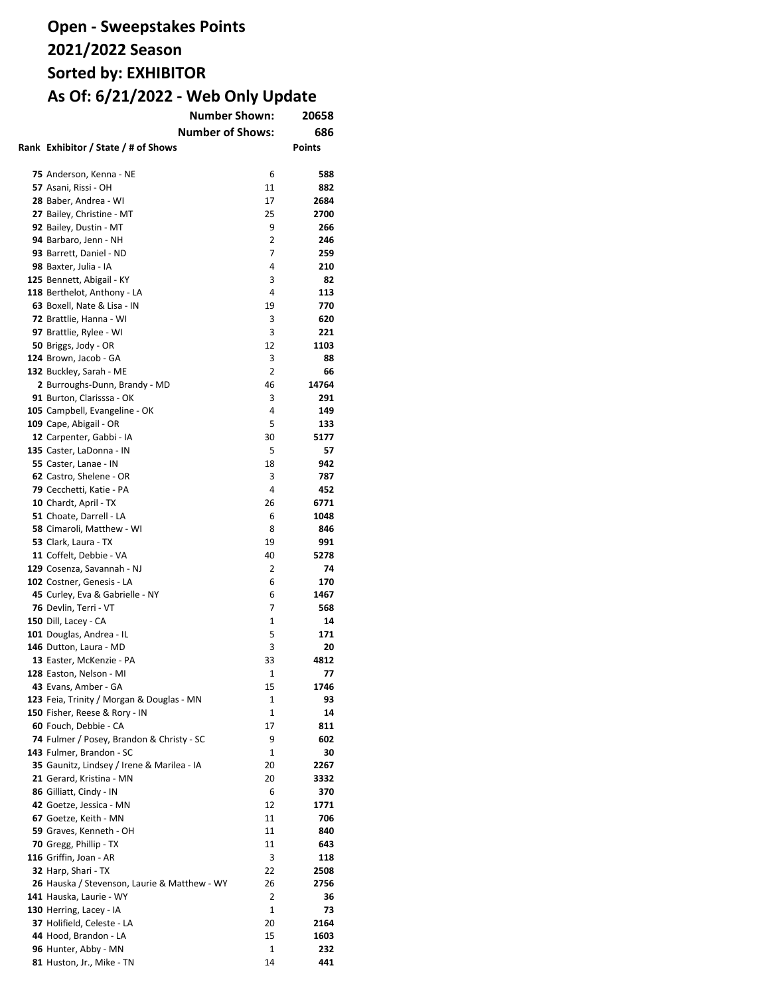| <b>Number Shown:</b>                              | 20658        |               |
|---------------------------------------------------|--------------|---------------|
| <b>Number of Shows:</b>                           |              | 686           |
| Rank Exhibitor / State / # of Shows               |              | <b>Points</b> |
|                                                   |              |               |
| 75 Anderson, Kenna - NE                           | 6            | 588           |
| 57 Asani, Rissi - OH                              | 11           | 882           |
| 28 Baber, Andrea - WI                             | 17           | 2684          |
| 27 Bailey, Christine - MT                         | 25           | 2700          |
| 92 Bailey, Dustin - MT                            | 9            | 266           |
| 94 Barbaro, Jenn - NH                             | 2            | 246           |
| 93 Barrett, Daniel - ND                           | 7            | 259           |
| 98 Baxter, Julia - IA                             | 4            | 210           |
|                                                   | 3            | 82            |
| 125 Bennett, Abigail - KY                         | 4            |               |
| 118 Berthelot, Anthony - LA                       |              | 113           |
| 63 Boxell, Nate & Lisa - IN                       | 19           | 770           |
| 72 Brattlie, Hanna - WI                           | 3            | 620           |
| 97 Brattlie, Rylee - WI                           | 3            | 221           |
| 50 Briggs, Jody - OR                              | 12           | 1103          |
| 124 Brown, Jacob - GA                             | 3            | 88            |
| 132 Buckley, Sarah - ME                           | 2            | 66            |
| 2 Burroughs-Dunn, Brandy - MD                     | 46           | 14764         |
| 91 Burton, Clarisssa - OK                         | 3            | 291           |
| 105 Campbell, Evangeline - OK                     | 4            | 149           |
| 109 Cape, Abigail - OR                            | 5            | 133           |
| 12 Carpenter, Gabbi - IA                          | 30           | 5177          |
| 135 Caster, LaDonna - IN                          | 5            | 57            |
| 55 Caster, Lanae - IN                             | 18           | 942           |
| 62 Castro, Shelene - OR                           | 3            | 787           |
| 79 Cecchetti, Katie - PA                          | 4            | 452           |
| 10 Chardt, April - TX                             | 26           | 6771          |
| 51 Choate, Darrell - LA                           | 6            | 1048          |
| 58 Cimaroli, Matthew - WI                         | 8            | 846           |
| 53 Clark, Laura - TX                              | 19           | 991           |
| 11 Coffelt, Debbie - VA                           | 40           | 5278          |
| 129 Cosenza, Savannah - NJ                        | 2            | 74            |
| 102 Costner, Genesis - LA                         | 6            | 170           |
| 45 Curley, Eva & Gabrielle - NY                   | 6            | 1467          |
| 76 Devlin, Terri - VT                             | 7            | 568           |
| 150 Dill, Lacey - CA                              | 1            | 14            |
| 101 Douglas, Andrea - IL                          | 5            | 171           |
| 146 Dutton, Laura - MD                            | 3            | 20            |
| 13 Easter, McKenzie - PA                          | 33           | 4812          |
| 128 Easton, Nelson - MI                           | 1            | 77            |
| 43 Evans, Amber - GA                              | 15           | 1746          |
| 123 Feia, Trinity / Morgan & Douglas - MN         | 1            | 93            |
| 150 Fisher, Reese & Rory - IN                     | 1            | 14            |
| 60 Fouch, Debbie - CA                             | 17           | 811           |
| 74 Fulmer / Posey, Brandon & Christy - SC         | 9            | 602           |
| 143 Fulmer, Brandon - SC                          | 1            | 30            |
| 35 Gaunitz, Lindsey / Irene & Marilea - IA        | 20           | 2267          |
| 21 Gerard, Kristina - MN                          | 20           | 3332          |
| 86 Gilliatt, Cindy - IN                           | 6            | 370           |
| 42 Goetze, Jessica - MN                           | 12           | 1771          |
| 67 Goetze, Keith - MN                             | 11           | 706           |
|                                                   | 11           | 840           |
| 59 Graves, Kenneth - OH<br>70 Gregg, Phillip - TX | 11           | 643           |
|                                                   | 3            |               |
| 116 Griffin, Joan - AR                            |              | 118           |
| 32 Harp, Shari - TX                               | 22           | 2508          |
| 26 Hauska / Stevenson, Laurie & Matthew - WY      | 26           | 2756          |
| 141 Hauska, Laurie - WY                           | 2            | 36            |
| 130 Herring, Lacey - IA                           | $\mathbf{1}$ | 73            |
| 37 Holifield, Celeste - LA                        | 20           | 2164          |
| 44 Hood, Brandon - LA                             | 15           | 1603          |
| 96 Hunter, Abby - MN                              | 1            | 232           |
| 81 Huston, Jr., Mike - TN                         | 14           | 441           |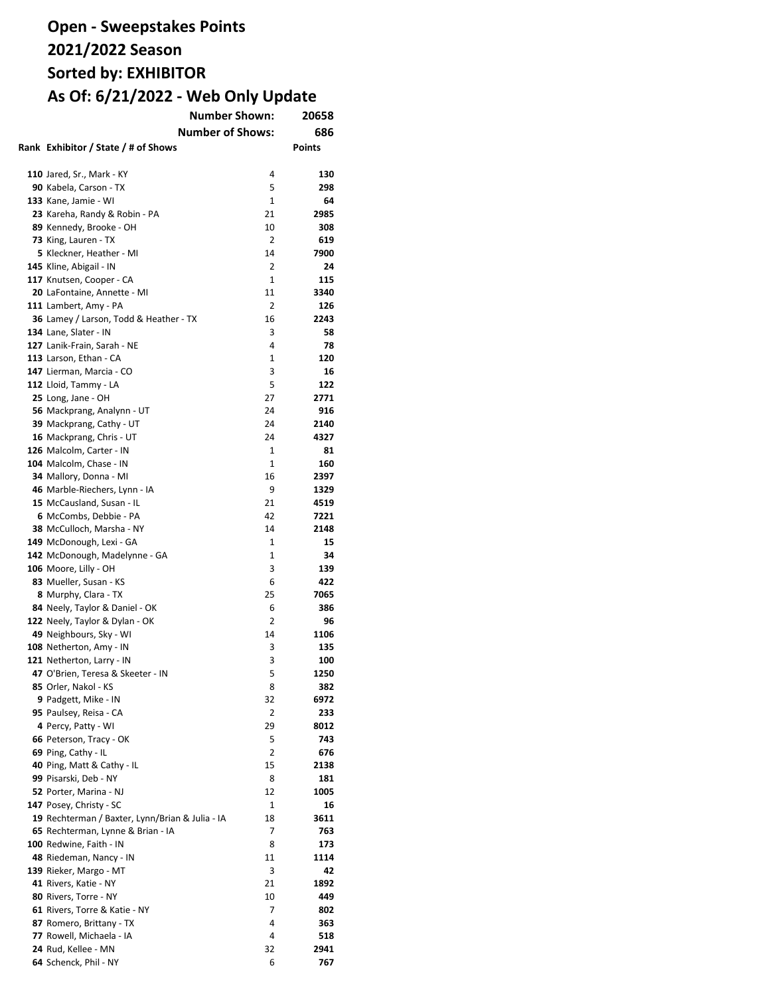| <b>Number Shown:</b>                                           | 20658        |               |
|----------------------------------------------------------------|--------------|---------------|
| <b>Number of Shows:</b>                                        |              | 686           |
| Rank Exhibitor / State / # of Shows                            |              | <b>Points</b> |
|                                                                |              |               |
| <b>110</b> Jared, Sr., Mark - KY                               | 4            | 130           |
| 90 Kabela, Carson - TX                                         | 5            | 298           |
| 133 Kane, Jamie - WI                                           | $\mathbf{1}$ | 64            |
| 23 Kareha, Randy & Robin - PA                                  | 21           | 2985          |
| 89 Kennedy, Brooke - OH                                        | 10           | 308           |
| 73 King, Lauren - TX                                           | 2            | 619           |
| 5 Kleckner, Heather - MI                                       | 14           | 7900          |
| 145 Kline, Abigail - IN                                        | 2            | 24            |
| 117 Knutsen, Cooper - CA                                       | 1            | 115           |
| 20 LaFontaine, Annette - MI                                    | 11           | 3340          |
| 111 Lambert, Amy - PA                                          | 2            | 126           |
| 36 Lamey / Larson, Todd & Heather - TX                         | 16           | 2243          |
| 134 Lane, Slater - IN                                          | 3            | 58            |
| 127 Lanik-Frain, Sarah - NE                                    | 4            | 78            |
| 113 Larson, Ethan - CA                                         | 1            | 120           |
| 147 Lierman, Marcia - CO                                       | 3            | 16            |
| 112 Lloid, Tammy - LA                                          | 5            | 122           |
| 25 Long, Jane - OH                                             | 27           | 2771          |
| 56 Mackprang, Analynn - UT                                     | 24           | 916           |
| 39 Mackprang, Cathy - UT                                       | 24           | 2140          |
| 16 Mackprang, Chris - UT                                       | 24           | 4327          |
| 126 Malcolm, Carter - IN                                       | $\mathbf{1}$ | 81            |
| 104 Malcolm, Chase - IN                                        | 1            | 160           |
| 34 Mallory, Donna - MI                                         | 16           | 2397          |
| 46 Marble-Riechers, Lynn - IA                                  | 9            | 1329          |
| 15 McCausland, Susan - IL                                      | 21           | 4519          |
| 6 McCombs, Debbie - PA                                         | 42           | 7221          |
| 38 McCulloch, Marsha - NY                                      | 14           | 2148          |
| 149 McDonough, Lexi - GA                                       | 1            | 15            |
| 142 McDonough, Madelynne - GA                                  | $\mathbf{1}$ | 34            |
| 106 Moore, Lilly - OH                                          | 3            | 139           |
| 83 Mueller, Susan - KS                                         | 6            | 422           |
| 8 Murphy, Clara - TX                                           | 25           | 7065          |
| 84 Neely, Taylor & Daniel - OK                                 | 6            | 386           |
| 122 Neely, Taylor & Dylan - OK<br>49 Neighbours, Sky - WI      | 2<br>14      | 96<br>1106    |
|                                                                | 3            | 135           |
| 108 Netherton, Amy - IN                                        | 3            | 100           |
| 121 Netherton, Larry - IN<br>47 O'Brien, Teresa & Skeeter - IN | 5            | 1250          |
| 85 Orler, Nakol - KS                                           | 8            | 382           |
| 9 Padgett, Mike - IN                                           | 32           | 6972          |
| 95 Paulsey, Reisa - CA                                         | 2            | 233           |
| 4 Percy, Patty - WI                                            | 29           | 8012          |
| 66 Peterson, Tracy - OK                                        | 5            | 743           |
| 69 Ping, Cathy - IL                                            | 2            | 676           |
| 40 Ping, Matt & Cathy - IL                                     | 15           | 2138          |
| 99 Pisarski, Deb - NY                                          | 8            | 181           |
| 52 Porter, Marina - NJ                                         | 12           | 1005          |
| 147 Posey, Christy - SC                                        | $\mathbf{1}$ | 16            |
| 19 Rechterman / Baxter, Lynn/Brian & Julia - IA                | 18           | 3611          |
| 65 Rechterman, Lynne & Brian - IA                              | 7            | 763           |
| 100 Redwine, Faith - IN                                        | 8            | 173           |
| 48 Riedeman, Nancy - IN                                        | 11           | 1114          |
| 139 Rieker, Margo - MT                                         | 3            | 42            |
| 41 Rivers, Katie - NY                                          | 21           | 1892          |
| 80 Rivers, Torre - NY                                          | 10           | 449           |
| 61 Rivers, Torre & Katie - NY                                  | 7            | 802           |
| 87 Romero, Brittany - TX                                       | 4            | 363           |
| 77 Rowell, Michaela - IA                                       | 4            | 518           |
| 24 Rud, Kellee - MN                                            | 32           | 2941          |
| 64 Schenck, Phil - NY                                          | 6            | 767           |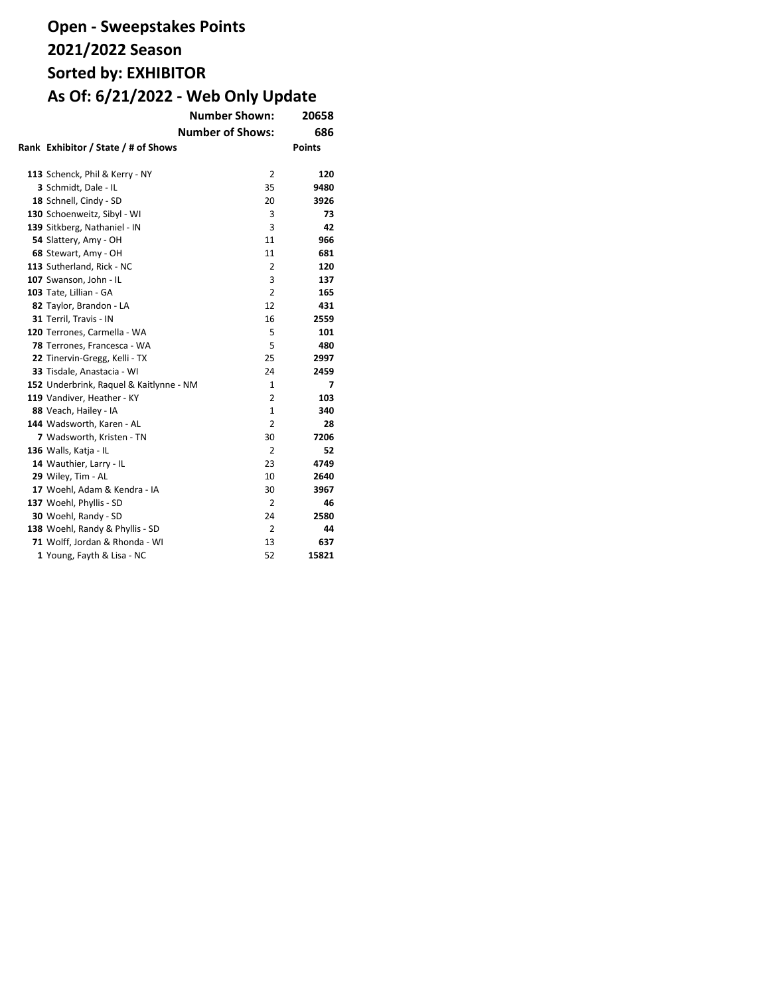| <b>Number Shown:</b>                    |                         | 20658         |
|-----------------------------------------|-------------------------|---------------|
|                                         | <b>Number of Shows:</b> | 686           |
| Rank Exhibitor / State / # of Shows     |                         | <b>Points</b> |
|                                         |                         |               |
| 113 Schenck, Phil & Kerry - NY          | 2                       | 120           |
| 3 Schmidt, Dale - IL                    | 35                      | 9480          |
| 18 Schnell, Cindy - SD                  | 20                      | 3926          |
| 130 Schoenweitz, Sibyl - WI             | 3                       | 73            |
| 139 Sitkberg, Nathaniel - IN            | 3                       | 42            |
| 54 Slattery, Amy - OH                   | 11                      | 966           |
| 68 Stewart, Amy - OH                    | 11                      | 681           |
| 113 Sutherland, Rick - NC               | 2                       | 120           |
| 107 Swanson, John - IL                  | 3                       | 137           |
| 103 Tate, Lillian - GA                  | 2                       | 165           |
| 82 Taylor, Brandon - LA                 | 12                      | 431           |
| 31 Terril, Travis - IN                  | 16                      | 2559          |
| 120 Terrones, Carmella - WA             | 5                       | 101           |
| 78 Terrones, Francesca - WA             | 5                       | 480           |
| 22 Tinervin-Gregg, Kelli - TX           | 25                      | 2997          |
| 33 Tisdale, Anastacia - WI              | 24                      | 2459          |
| 152 Underbrink, Raquel & Kaitlynne - NM | 1                       | 7             |
| 119 Vandiver, Heather - KY              | $\overline{2}$          | 103           |
| 88 Veach, Hailey - IA                   | $\mathbf{1}$            | 340           |
| 144 Wadsworth, Karen - AL               | 2                       | 28            |
| 7 Wadsworth, Kristen - TN               | 30                      | 7206          |
| 136 Walls, Katja - IL                   | 2                       | 52            |
| 14 Wauthier, Larry - IL                 | 23                      | 4749          |
| 29 Wiley, Tim - AL                      | 10                      | 2640          |
| 17 Woehl, Adam & Kendra - IA            | 30                      | 3967          |
| 137 Woehl, Phyllis - SD                 | 2                       | 46            |
| 30 Woehl, Randy - SD                    | 24                      | 2580          |
| 138 Woehl, Randy & Phyllis - SD         | 2                       | 44            |
| 71 Wolff, Jordan & Rhonda - WI          | 13                      | 637           |
| 1 Young, Fayth & Lisa - NC              | 52                      | 15821         |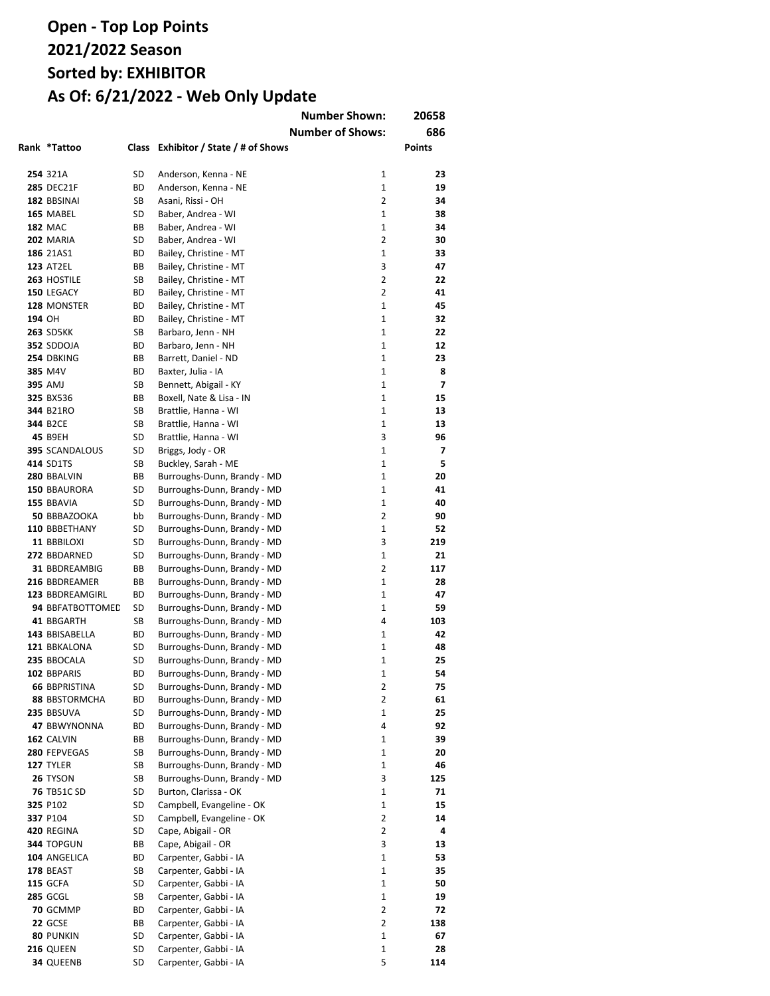|        |                        |          |                                                | <b>Number Shown:</b>    | 20658         |
|--------|------------------------|----------|------------------------------------------------|-------------------------|---------------|
|        |                        |          |                                                | <b>Number of Shows:</b> | 686           |
|        | Rank *Tattoo           |          | Class Exhibitor / State / # of Shows           |                         | <b>Points</b> |
|        |                        |          |                                                |                         |               |
|        | 254 321A               | SD       | Anderson, Kenna - NE                           | 1                       | 23            |
|        | <b>285 DEC21F</b>      | ВD       | Anderson, Kenna - NE                           | $\mathbf{1}$            | 19            |
|        | 182 BBSINAI            | SB       | Asani, Rissi - OH                              | $\overline{2}$          | 34            |
|        | 165 MABEL              | SD       | Baber, Andrea - WI                             | $\mathbf{1}$            | 38            |
|        | <b>182 MAC</b>         | BВ       | Baber, Andrea - WI                             | $\mathbf{1}$            | 34            |
|        | 202 MARIA              | SD       | Baber, Andrea - WI                             | $\overline{2}$          | 30            |
|        | 186 21AS1              | ВD       | Bailey, Christine - MT                         | 1                       | 33            |
|        | <b>123 AT2EL</b>       | BВ       | Bailey, Christine - MT                         | 3                       | 47            |
|        | 263 HOSTILE            | SB       | Bailey, Christine - MT                         | 2                       | 22            |
|        | 150 LEGACY             | ВD       | Bailey, Christine - MT                         | $\overline{2}$          | 41            |
|        | 128 MONSTER            | ВD       | Bailey, Christine - MT                         | $\mathbf{1}$            | 45            |
| 194 OH |                        | ВD       | Bailey, Christine - MT                         | 1                       | 32            |
|        | <b>263 SD5KK</b>       | SB       | Barbaro, Jenn - NH                             | 1                       | 22            |
|        | 352 SDDOJA             | ВD       | Barbaro, Jenn - NH                             | 1                       | 12            |
|        | 254 DBKING             | ВB       | Barrett, Daniel - ND                           | 1                       | 23            |
|        | 385 M4V                | ВD       | Baxter, Julia - IA                             | 1                       | 8             |
|        | 395 AMJ                | SB       | Bennett, Abigail - KY                          | 1                       | 7             |
|        | 325 BX536              | ВB       | Boxell, Nate & Lisa - IN                       | 1                       | 15            |
|        | 344 B21RO              | SB       | Brattlie, Hanna - WI                           | 1<br>$\mathbf{1}$       | 13            |
|        | 344 B2CE<br>45 B9EH    | SB<br>SD | Brattlie, Hanna - WI                           | 3                       | 13<br>96      |
|        | <b>395 SCANDALOUS</b>  | SD       | Brattlie, Hanna - WI<br>Briggs, Jody - OR      | $\mathbf{1}$            | 7             |
|        | 414 SD1TS              | SB       | Buckley, Sarah - ME                            | $\mathbf{1}$            | 5             |
|        | 280 BBALVIN            | BВ       | Burroughs-Dunn, Brandy - MD                    | $\mathbf{1}$            | 20            |
|        | 150 BBAURORA           | SD       | Burroughs-Dunn, Brandy - MD                    | $\mathbf{1}$            | 41            |
|        | 155 BBAVIA             | SD       | Burroughs-Dunn, Brandy - MD                    | $\mathbf{1}$            | 40            |
|        | 50 BBBAZOOKA           | bb       | Burroughs-Dunn, Brandy - MD                    | 2                       | 90            |
|        | 110 BBBETHANY          | SD       | Burroughs-Dunn, Brandy - MD                    | $\mathbf{1}$            | 52            |
|        | 11 BBBILOXI            | SD       | Burroughs-Dunn, Brandy - MD                    | 3                       | 219           |
|        | 272 BBDARNED           | SD       | Burroughs-Dunn, Brandy - MD                    | $\mathbf{1}$            | 21            |
|        | 31 BBDREAMBIG          | BВ       | Burroughs-Dunn, Brandy - MD                    | $\overline{2}$          | 117           |
|        | 216 BBDREAMER          | BB       | Burroughs-Dunn, Brandy - MD                    | $\mathbf{1}$            | 28            |
|        | 123 BBDREAMGIRL        | ВD       | Burroughs-Dunn, Brandy - MD                    | $\mathbf{1}$            | 47            |
|        | 94 BBFATBOTTOMED       | SD       | Burroughs-Dunn, Brandy - MD                    | 1                       | 59            |
|        | 41 BBGARTH             | SB       | Burroughs-Dunn, Brandy - MD                    | 4                       | 103           |
|        | 143 BBISABELLA         | ВD       | Burroughs-Dunn, Brandy - MD                    | 1                       | 42            |
|        | 121 BBKALONA           | SD       | Burroughs-Dunn, Brandy - MD                    | $\mathbf{1}$            | 48            |
|        | 235 BBOCALA            | SD       | Burroughs-Dunn, Brandy - MD                    | $\mathbf{1}$            | 25            |
|        | 102 BBPARIS            | ВD       | Burroughs-Dunn, Brandy - MD                    | 1                       | 54            |
|        | <b>66 BBPRISTINA</b>   | SD       | Burroughs-Dunn, Brandy - MD                    | 2                       | 75            |
|        | <b>88 BBSTORMCHA</b>   | ВD       | Burroughs-Dunn, Brandy - MD                    | $\overline{2}$          | 61            |
|        | 235 BBSUVA             | SD       | Burroughs-Dunn, Brandy - MD                    | 1                       | 25            |
|        | 47 BBWYNONNA           | ВD       | Burroughs-Dunn, Brandy - MD                    | 4                       | 92            |
|        | 162 CALVIN             | ВB       | Burroughs-Dunn, Brandy - MD                    | 1                       | 39            |
|        | 280 FEPVEGAS           | SB       | Burroughs-Dunn, Brandy - MD                    | $\mathbf{1}$            | 20            |
|        | 127 TYLER              | SB       | Burroughs-Dunn, Brandy - MD                    | 1                       | 46            |
|        | 26 TYSON               | SB       | Burroughs-Dunn, Brandy - MD                    | 3                       | 125           |
|        | <b>76 TB51C SD</b>     | SD       | Burton, Clarissa - OK                          | 1                       | 71            |
|        | 325 P102               | SD       | Campbell, Evangeline - OK                      | 1                       | 15            |
|        | 337 P104               | SD       | Campbell, Evangeline - OK                      | 2                       | 14            |
|        | <b>420 REGINA</b>      | SD       | Cape, Abigail - OR                             | 2                       | 4             |
|        | 344 TOPGUN             | ВB       | Cape, Abigail - OR                             | 3                       | 13            |
|        | 104 ANGELICA           | ВD       | Carpenter, Gabbi - IA                          | 1                       | 53            |
|        | <b>178 BEAST</b>       | SB       | Carpenter, Gabbi - IA                          | 1                       | 35            |
|        | <b>115 GCFA</b>        | SD       | Carpenter, Gabbi - IA                          | 1                       | 50            |
|        | <b>285 GCGL</b>        | SB       | Carpenter, Gabbi - IA                          | $\mathbf{1}$            | 19            |
|        | 70 GCMMP               | ВD       | Carpenter, Gabbi - IA                          | $\overline{2}$          | 72            |
|        | 22 GCSE                | ВB       | Carpenter, Gabbi - IA                          | $\overline{2}$          | 138           |
|        | 80 PUNKIN<br>216 QUEEN | SD<br>SD | Carpenter, Gabbi - IA<br>Carpenter, Gabbi - IA | 1<br>1                  | 67<br>28      |
|        | 34 QUEENB              | SD       | Carpenter, Gabbi - IA                          | 5                       | 114           |
|        |                        |          |                                                |                         |               |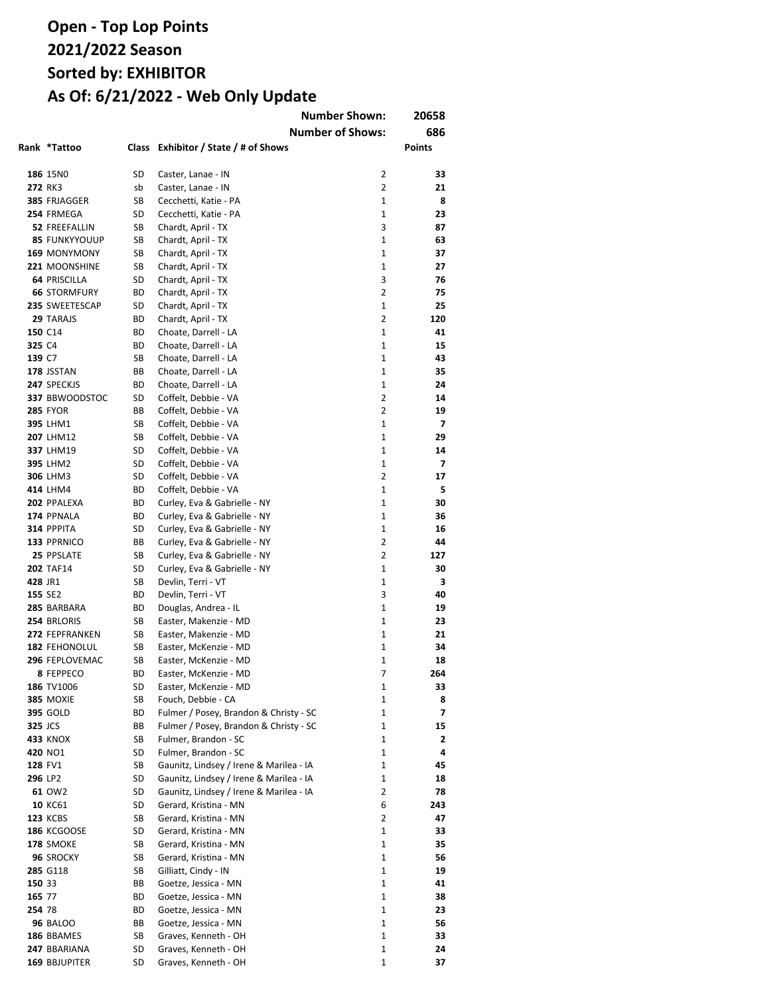|                |                               |              |                                              | <b>Number Shown:</b>    | 20658    |
|----------------|-------------------------------|--------------|----------------------------------------------|-------------------------|----------|
|                |                               |              |                                              | <b>Number of Shows:</b> | 686      |
|                | Rank *Tattoo                  | <b>Class</b> | Exhibitor / State / # of Shows               |                         | Points   |
|                |                               |              |                                              |                         |          |
|                | 186 15N0                      | SD           | Caster, Lanae - IN                           | 2                       | 33       |
|                | 272 RK3                       | sb           | Caster, Lanae - IN                           | $\overline{2}$          | 21       |
|                | 385 FRJAGGER                  | SB           | Cecchetti, Katie - PA                        | $\mathbf{1}$            | 8        |
|                | 254 FRMEGA                    | SD           | Cecchetti, Katie - PA                        | 1                       | 23       |
|                | 52 FREEFALLIN                 | SB           | Chardt, April - TX                           | 3                       | 87       |
|                | <b>85 FUNKYYOUUP</b>          | SB           | Chardt, April - TX                           | $\mathbf{1}$            | 63       |
|                | 169 MONYMONY                  | SB           | Chardt, April - TX                           | $\mathbf{1}$            | 37       |
|                | 221 MOONSHINE                 | SB           | Chardt, April - TX                           | 1                       | 27       |
|                | <b>64 PRISCILLA</b>           | SD           | Chardt, April - TX                           | 3                       | 76       |
|                | <b>66 STORMFURY</b>           | ВD           | Chardt, April - TX                           | $\overline{2}$          | 75       |
|                | 235 SWEETESCAP                | SD           | Chardt, April - TX                           | 1                       | 25       |
|                | 29 TARAJS                     | ВD           | Chardt, April - TX                           | 2                       | 120      |
|                | 150 C14                       | ВD           | Choate, Darrell - LA                         | 1                       | 41       |
| 325 C4         |                               | ВD           | Choate, Darrell - LA                         | 1                       | 15       |
| 139 C7         |                               | SB           | Choate, Darrell - LA                         | 1                       | 43       |
|                | 178 JSSTAN                    | BВ           | Choate, Darrell - LA                         | 1                       | 35       |
|                | 247 SPECKJS                   | ВD           | Choate, Darrell - LA                         | 1                       | 24       |
|                | 337 BBWOODSTOC                | SD           | Coffelt, Debbie - VA                         | $\overline{2}$          | 14       |
|                | <b>285 FYOR</b>               | BВ           | Coffelt, Debbie - VA                         | 2                       | 19       |
|                | 395 LHM1<br>207 LHM12         | SB           | Coffelt, Debbie - VA                         | 1<br>$\mathbf{1}$       | 7        |
|                | 337 LHM19                     | SB<br>SD     | Coffelt, Debbie - VA<br>Coffelt, Debbie - VA | $\mathbf{1}$            | 29<br>14 |
|                | <b>395 LHM2</b>               | SD           | Coffelt, Debbie - VA                         | 1                       | 7        |
|                | <b>306 LHM3</b>               | SD           | Coffelt, Debbie - VA                         | 2                       | 17       |
|                | 414 LHM4                      | ВD           | Coffelt, Debbie - VA                         | 1                       | 5        |
|                | 202 PPALEXA                   | ВD           | Curley, Eva & Gabrielle - NY                 | $\mathbf{1}$            | 30       |
|                | 174 PPNALA                    | ВD           | Curley, Eva & Gabrielle - NY                 | 1                       | 36       |
|                | 314 PPPITA                    | SD           | Curley, Eva & Gabrielle - NY                 | $\mathbf{1}$            | 16       |
|                | 133 PPRNICO                   | ВB           | Curley, Eva & Gabrielle - NY                 | $\overline{2}$          | 44       |
|                | 25 PPSLATE                    | SB           | Curley, Eva & Gabrielle - NY                 | $\overline{2}$          | 127      |
|                | <b>202 TAF14</b>              | SD           | Curley, Eva & Gabrielle - NY                 | 1                       | 30       |
| 428 JR1        |                               | SB           | Devlin, Terri - VT                           | $\mathbf{1}$            | 3        |
| 155 SE2        |                               | ВD           | Devlin, Terri - VT                           | 3                       | 40       |
|                | 285 BARBARA                   | ВD           | Douglas, Andrea - IL                         | 1                       | 19       |
|                | 254 BRLORIS                   | SB           | Easter, Makenzie - MD                        | 1                       | 23       |
|                | 272 FEPFRANKEN                | SB           | Easter, Makenzie - MD                        | $\mathbf{1}$            | 21       |
|                | <b>182 FEHONOLUL</b>          | SB           | Easter, McKenzie - MD                        | 1                       | 34       |
|                | 296 FEPLOVEMAC                | SB           | Easter, McKenzie - MD                        | $\mathbf{1}$            | 18       |
|                | 8 FEPPECO                     | ВD           | Easter. McKenzie - MD                        | 7                       | 264      |
|                | 186 TV1006                    | SD           | Easter, McKenzie - MD                        | 1                       | 33       |
|                | <b>385 MOXIE</b>              | SB           | Fouch, Debbie - CA                           | 1                       | 8        |
|                | <b>395 GOLD</b>               | ВD           | Fulmer / Posey, Brandon & Christy - SC       | 1                       | 7        |
| <b>325 JCS</b> |                               | ВB           | Fulmer / Posey, Brandon & Christy - SC       | 1                       | 15       |
|                | <b>433 KNOX</b>               | SB           | Fulmer, Brandon - SC                         | 1                       | 2        |
|                | 420 NO1                       | SD           | Fulmer, Brandon - SC                         | 1                       | 4        |
|                | 128 FV1                       | SB           | Gaunitz, Lindsey / Irene & Marilea - IA      | 1                       | 45       |
| 296 LP2        |                               | SD           | Gaunitz, Lindsey / Irene & Marilea - IA      | 1                       | 18       |
|                | 61 OW2                        | SD           | Gaunitz, Lindsey / Irene & Marilea - IA      | $\overline{2}$          | 78       |
|                | 10 KC61                       | SD           | Gerard, Kristina - MN                        | 6                       | 243      |
|                | <b>123 KCBS</b>               | SB           | Gerard, Kristina - MN                        | 2                       | 47       |
|                | <b>186 KCGOOSE</b>            | SD           | Gerard, Kristina - MN                        | 1                       | 33       |
|                | <b>178 SMOKE</b>              | SB           | Gerard, Kristina - MN                        | 1                       | 35       |
|                | 96 SROCKY                     | SB           | Gerard, Kristina - MN                        | 1                       | 56       |
|                | 285 G118                      | SB           | Gilliatt, Cindy - IN                         | 1                       | 19       |
| 150 33         |                               | ВB           | Goetze, Jessica - MN                         | 1                       | 41       |
| 165 77         |                               | ВD           | Goetze, Jessica - MN                         | 1                       | 38       |
| 254 78         |                               | ВD           | Goetze, Jessica - MN                         | 1                       | 23       |
|                | <b>96 BALOO</b>               | ВB           | Goetze, Jessica - MN                         | 1                       | 56       |
|                | 186 BBAMES                    | SB           | Graves, Kenneth - OH                         | 1                       | 33       |
|                | 247 BBARIANA<br>169 BBJUPITER | SD           | Graves, Kenneth - OH                         | 1<br>1                  | 24<br>37 |
|                |                               | SD           | Graves, Kenneth - OH                         |                         |          |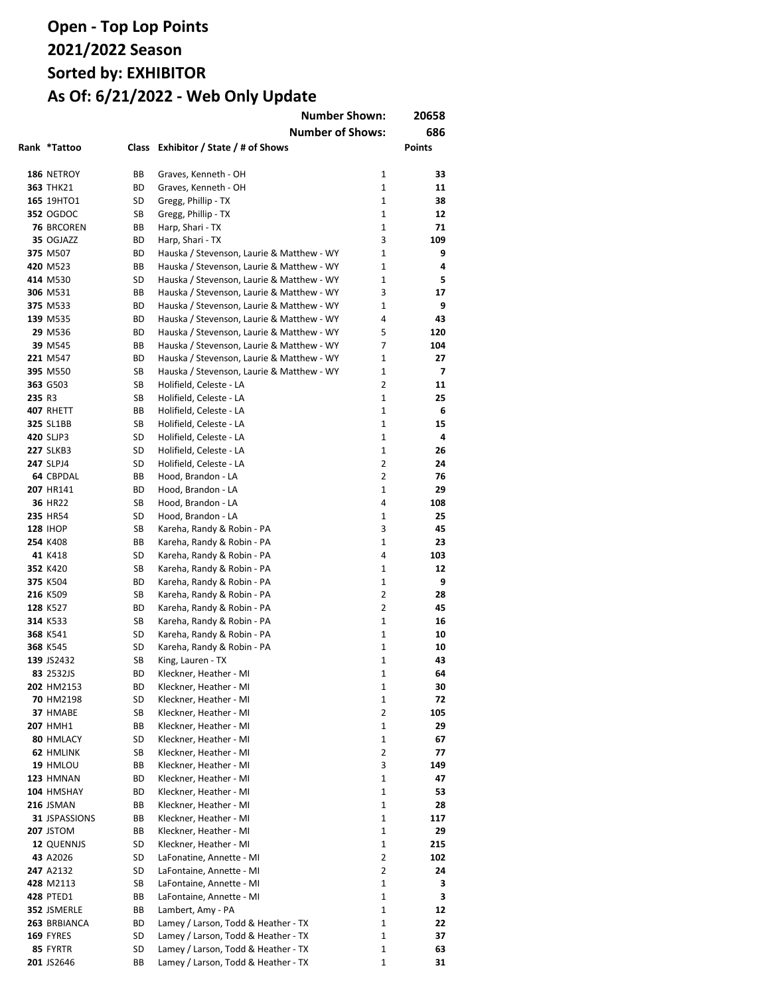|        |                                |          | <b>Number Shown:</b>                                     |                                | 20658          |
|--------|--------------------------------|----------|----------------------------------------------------------|--------------------------------|----------------|
|        |                                |          | <b>Number of Shows:</b>                                  |                                | 686            |
|        | Rank *Tattoo                   |          | Class Exhibitor / State / # of Shows                     |                                | <b>Points</b>  |
|        |                                |          |                                                          | 1                              | 33             |
|        | 186 NETROY<br><b>363 THK21</b> | ВB<br>ВD | Graves, Kenneth - OH<br>Graves, Kenneth - OH             | $\mathbf{1}$                   | 11             |
|        | 165 19HTO1                     | SD       | Gregg, Phillip - TX                                      | 1                              | 38             |
|        | <b>352 OGDOC</b>               | SB       | Gregg, Phillip - TX                                      | $\mathbf{1}$                   | 12             |
|        | <b>76 BRCOREN</b>              | BВ       | Harp, Shari - TX                                         | $\mathbf{1}$                   | 71             |
|        | 35 OGJAZZ                      | ВD       | Harp, Shari - TX                                         | 3                              | 109            |
|        | 375 M507                       | ВD       | Hauska / Stevenson, Laurie & Matthew - WY                | $\mathbf{1}$                   | 9              |
|        | 420 M523                       | ВB       | Hauska / Stevenson, Laurie & Matthew - WY                | $\mathbf{1}$                   | 4              |
|        | 414 M530                       | SD       | Hauska / Stevenson, Laurie & Matthew - WY                | $\mathbf{1}$                   | 5              |
|        | 306 M531                       | BB       | Hauska / Stevenson, Laurie & Matthew - WY                | 3                              | 17             |
|        | 375 M533                       | ВD       | Hauska / Stevenson, Laurie & Matthew - WY                | $\mathbf{1}$                   | 9              |
|        | 139 M535                       | ВD       | Hauska / Stevenson, Laurie & Matthew - WY                | 4                              | 43             |
|        | 29 M536                        | ВD       | Hauska / Stevenson, Laurie & Matthew - WY                | 5                              | 120            |
|        | 39 M545                        | ВB       | Hauska / Stevenson, Laurie & Matthew - WY                | 7                              | 104            |
|        | 221 M547                       | ВD       | Hauska / Stevenson, Laurie & Matthew - WY                | 1                              | 27             |
|        | 395 M550                       | SB       | Hauska / Stevenson, Laurie & Matthew - WY                | $\mathbf{1}$                   | $\overline{ }$ |
|        | 363 G503                       | SB       | Holifield, Celeste - LA                                  | 2                              | 11             |
| 235 R3 |                                | SB       | Holifield, Celeste - LA                                  | $\mathbf{1}$                   | 25             |
|        | 407 RHETT                      | ВB       | Holifield, Celeste - LA                                  | $\mathbf{1}$                   | 6              |
|        | <b>325 SL1BB</b>               | SB       | Holifield, Celeste - LA                                  | $\mathbf{1}$                   | 15             |
|        | 420 SLJP3                      | SD       | Holifield, Celeste - LA                                  | $\mathbf{1}$                   | 4              |
|        | <b>227 SLKB3</b>               | SD       | Holifield, Celeste - LA                                  | $\mathbf{1}$                   | 26             |
|        | 247 SLPJ4                      | SD       | Holifield, Celeste - LA                                  | 2                              | 24             |
|        | 64 CBPDAL                      | ВB       | Hood, Brandon - LA                                       | 2                              | 76             |
|        | 207 HR141                      | ВD       | Hood, Brandon - LA                                       | $\mathbf{1}$                   | 29             |
|        | 36 HR22                        | SB       | Hood, Brandon - LA                                       | 4                              | 108            |
|        | 235 HR54                       | SD       | Hood, Brandon - LA                                       | $\mathbf{1}$                   | 25             |
|        | <b>128 IHOP</b>                | SB       | Kareha, Randy & Robin - PA                               | 3                              | 45             |
|        | 254 K408                       | ВB       | Kareha, Randy & Robin - PA                               | $\mathbf{1}$                   | 23             |
|        | 41 K418                        | SD       | Kareha, Randy & Robin - PA                               | 4                              | 103            |
|        | 352 K420                       | SB       | Kareha, Randy & Robin - PA                               | $\mathbf{1}$                   | 12             |
|        | 375 K504                       | ВD       | Kareha, Randy & Robin - PA                               | $\mathbf{1}$<br>$\overline{2}$ | 9              |
|        | 216 K509                       | SB       | Kareha, Randy & Robin - PA                               | $\overline{2}$                 | 28<br>45       |
|        | 128 K527<br>314 K533           | ВD<br>SB | Kareha, Randy & Robin - PA<br>Kareha, Randy & Robin - PA | $\mathbf{1}$                   | 16             |
|        | 368 K541                       | SD       | Kareha, Randy & Robin - PA                               | $\mathbf{1}$                   | 10             |
|        | 368 K545                       | SD       | Kareha, Randy & Robin - PA                               | $\mathbf{1}$                   | 10             |
|        | 139 JS2432                     | SB       | King, Lauren - TX                                        | $\mathbf{1}$                   | 43             |
|        | 83 2532JS                      | ВD       | Kleckner, Heather - MI                                   | 1                              | 64             |
|        | 202 HM2153                     | ВD       | Kleckner, Heather - MI                                   | 1                              | 30             |
|        | 70 HM2198                      | SD       | Kleckner, Heather - MI                                   | 1                              | 72             |
|        | 37 HMABE                       | SB       | Kleckner, Heather - MI                                   | $\overline{2}$                 | 105            |
|        | <b>207 HMH1</b>                | ВB       | Kleckner, Heather - MI                                   | $\mathbf{1}$                   | 29             |
|        | 80 HMLACY                      | SD       | Kleckner, Heather - MI                                   | $\mathbf{1}$                   | 67             |
|        | 62 HMLINK                      | SB       | Kleckner, Heather - MI                                   | $\overline{2}$                 | 77             |
|        | 19 HMLOU                       | ВB       | Kleckner, Heather - MI                                   | 3                              | 149            |
|        | 123 HMNAN                      | ВD       | Kleckner, Heather - MI                                   | $\mathbf{1}$                   | 47             |
|        | 104 HMSHAY                     | ВD       | Kleckner, Heather - MI                                   | 1                              | 53             |
|        | <b>216 JSMAN</b>               | ВB       | Kleckner, Heather - MI                                   | $\mathbf{1}$                   | 28             |
|        | 31 JSPASSIONS                  | ВB       | Kleckner, Heather - MI                                   | 1                              | 117            |
|        | <b>207 JSTOM</b>               | ВB       | Kleckner, Heather - MI                                   | $\mathbf{1}$                   | 29             |
|        | 12 QUENNJS                     | SD       | Kleckner, Heather - MI                                   | $\mathbf{1}$                   | 215            |
|        | 43 A2026                       | SD       | LaFonatine, Annette - MI                                 | $\overline{2}$                 | 102            |
|        | 247 A2132                      | SD       | LaFontaine, Annette - MI                                 | $\overline{2}$                 | 24             |
|        | 428 M2113                      | SB       | LaFontaine, Annette - MI                                 | $\mathbf{1}$                   | 3              |
|        | <b>428 PTED1</b>               | ВB       | LaFontaine, Annette - MI                                 | $\mathbf{1}$                   | 3              |
|        | 352 JSMERLE                    | ВB       | Lambert, Amy - PA                                        | $\mathbf{1}$                   | 12             |
|        | 263 BRBIANCA                   | ВD       | Lamey / Larson, Todd & Heather - TX                      | $\mathbf{1}$                   | 22             |
|        | 169 FYRES                      | SD       | Lamey / Larson, Todd & Heather - TX                      | $\mathbf{1}$                   | 37             |
|        | 85 FYRTR                       | SD       | Lamey / Larson, Todd & Heather - TX                      | $\mathbf{1}$                   | 63             |
|        | 201 JS2646                     | ВB       | Lamey / Larson, Todd & Heather - TX                      | 1                              | 31             |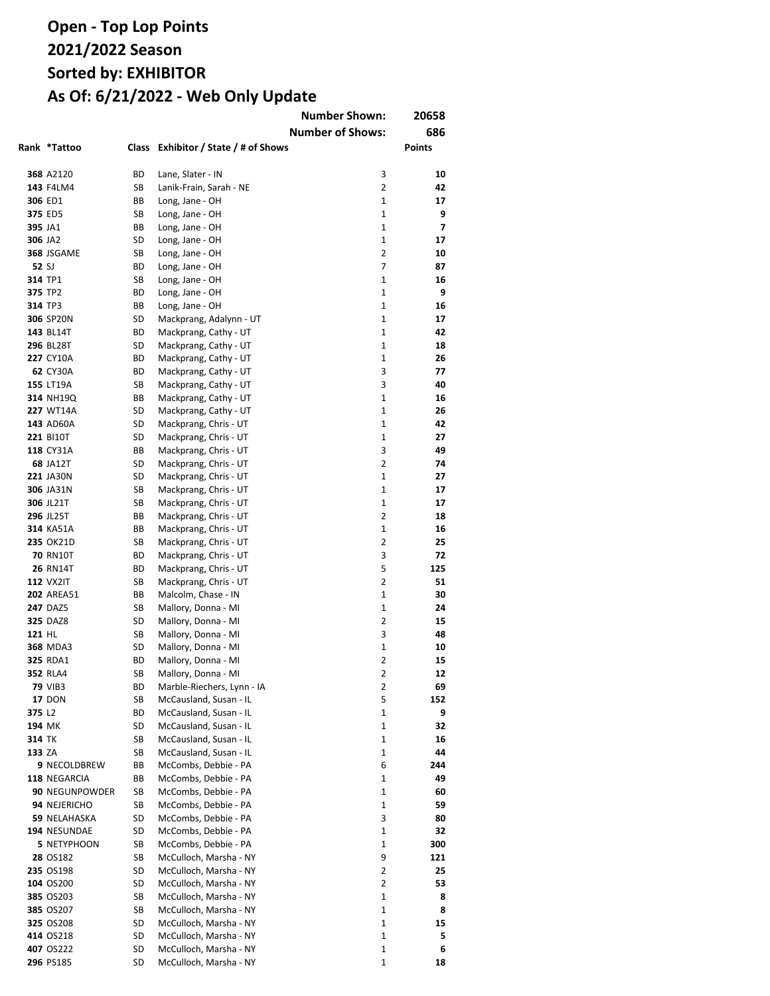|                    |                                      |          |                                            | <b>Number Shown:</b>    | 20658                    |
|--------------------|--------------------------------------|----------|--------------------------------------------|-------------------------|--------------------------|
|                    |                                      |          |                                            | <b>Number of Shows:</b> | 686                      |
|                    | Rank *Tattoo                         |          | Class Exhibitor / State / # of Shows       |                         | Points                   |
|                    |                                      |          |                                            |                         |                          |
|                    | 368 A2120                            | ВD       | Lane, Slater - IN                          | 3                       | 10                       |
|                    | 143 F4LM4                            | SB       | Lanik-Frain, Sarah - NE                    | $\overline{2}$          | 42                       |
|                    | 306 ED1                              | ВB       | Long, Jane - OH                            | $\mathbf{1}$            | 17                       |
|                    | 375 ED5                              | SB       | Long, Jane - OH                            | 1                       | 9                        |
| 395 JA1            |                                      | ВB       | Long, Jane - OH                            | $\mathbf{1}$            | $\overline{\phantom{a}}$ |
| 306 JA2            |                                      | SD       | Long, Jane - OH                            | $\mathbf{1}$            | 17                       |
|                    | 368 JSGAME                           | SB       | Long, Jane - OH                            | 2                       | 10                       |
| 52 SJ              |                                      | ВD       | Long, Jane - OH                            | $\overline{7}$          | 87                       |
| 314 TP1            |                                      | SB       | Long, Jane - OH                            | 1                       | 16                       |
| 375 TP2            |                                      | ВD       | Long, Jane - OH                            | 1                       | 9                        |
| 314 TP3            |                                      | ВB       | Long, Jane - OH                            | 1                       | 16                       |
|                    | 306 SP20N                            | SD       | Mackprang, Adalynn - UT                    | 1                       | 17                       |
|                    | 143 BL14T                            | ВD       | Mackprang, Cathy - UT                      | 1                       | 42                       |
|                    | <b>296 BL28T</b>                     | SD       | Mackprang, Cathy - UT                      | 1                       | 18                       |
|                    | 227 CY10A                            | ВD       | Mackprang, Cathy - UT                      | 1                       | 26                       |
|                    | <b>62 CY30A</b>                      | ВD       | Mackprang, Cathy - UT                      | 3                       | 77                       |
|                    | 155 LT19A                            | SB       | Mackprang, Cathy - UT                      | 3                       | 40                       |
|                    | 314 NH19Q                            | BВ       | Mackprang, Cathy - UT                      | 1                       | 16                       |
|                    | 227 WT14A                            | SD       | Mackprang, Cathy - UT                      | 1                       | 26                       |
|                    | 143 AD60A                            | SD       | Mackprang, Chris - UT                      | 1                       | 42                       |
|                    | <b>221 BI10T</b>                     | SD       | Mackprang, Chris - UT                      | $\mathbf{1}$            | 27                       |
|                    | 118 CY31A                            | ВB       | Mackprang, Chris - UT                      | 3                       | 49                       |
|                    | <b>68 JA12T</b>                      | SD       | Mackprang, Chris - UT                      | 2                       | 74                       |
|                    | 221 JA30N                            | SD       | Mackprang, Chris - UT                      | 1                       | 27                       |
|                    | 306 JA31N                            | SB       | Mackprang, Chris - UT                      | $\mathbf{1}$            | 17                       |
|                    | 306 JL21T                            | SB       | Mackprang, Chris - UT                      | $\mathbf{1}$            | 17                       |
|                    | <b>296 JL25T</b>                     | ВB       | Mackprang, Chris - UT                      | 2                       | 18                       |
|                    | 314 KA51A                            | ВB       | Mackprang, Chris - UT                      | $\mathbf{1}$            | 16                       |
|                    | 235 OK21D                            | SB       | Mackprang, Chris - UT                      | $\overline{2}$          | 25                       |
|                    | <b>70 RN10T</b>                      | ВD       | Mackprang, Chris - UT                      | 3                       | 72                       |
|                    | <b>26 RN14T</b>                      | ВD       | Mackprang, Chris - UT                      | 5<br>$\overline{2}$     | 125                      |
|                    | <b>112 VX2IT</b>                     | SB       | Mackprang, Chris - UT                      | 1                       | 51<br>30                 |
|                    | <b>202 AREA51</b><br><b>247 DAZ5</b> | BВ<br>SB | Malcolm, Chase - IN<br>Mallory, Donna - MI | 1                       | 24                       |
|                    | <b>325 DAZ8</b>                      | SD       | Mallory, Donna - MI                        | 2                       | 15                       |
| 121 HL             |                                      | SB       | Mallory, Donna - MI                        | 3                       | 48                       |
|                    | <b>368 MDA3</b>                      | SD       | Mallory, Donna - MI                        | 1                       | 10                       |
|                    | 325 RDA1                             | ВD       | Mallory, Donna - MI                        | 2                       | 15                       |
|                    | <b>352 RLA4</b>                      | SB       | Mallory, Donna - MI                        | 2                       | 12                       |
|                    | <b>79 VIB3</b>                       | ВD       | Marble-Riechers, Lynn - IA                 | 2                       | 69                       |
|                    | <b>17 DON</b>                        | SB       | McCausland, Susan - IL                     | 5                       | 152                      |
| 375 L <sub>2</sub> |                                      | ВD       | McCausland, Susan - IL                     | 1                       | 9                        |
| 194 MK             |                                      | SD       | McCausland, Susan - IL                     | 1                       | 32                       |
| 314 TK             |                                      | SB       | McCausland, Susan - IL                     | 1                       | 16                       |
| 133 ZA             |                                      | SB       | McCausland, Susan - IL                     | 1                       | 44                       |
|                    | <b>9 NECOLDBREW</b>                  | ВB       | McCombs, Debbie - PA                       | 6                       | 244                      |
|                    | 118 NEGARCIA                         | ВB       | McCombs, Debbie - PA                       | 1                       | 49                       |
|                    | 90 NEGUNPOWDER                       | SB       | McCombs, Debbie - PA                       | 1                       | 60                       |
|                    | 94 NEJERICHO                         | SB       | McCombs, Debbie - PA                       | 1                       | 59                       |
|                    | 59 NELAHASKA                         | SD       | McCombs, Debbie - PA                       | 3                       | 80                       |
|                    | 194 NESUNDAE                         | SD       | McCombs, Debbie - PA                       | 1                       | 32                       |
|                    | 5 NETYPHOON                          | SB       | McCombs, Debbie - PA                       | 1                       | 300                      |
|                    | 28 OS182                             | SB       | McCulloch, Marsha - NY                     | 9                       | 121                      |
|                    | 235 OS198                            | SD       | McCulloch, Marsha - NY                     | 2                       | 25                       |
|                    | 104 OS200                            | SD       | McCulloch, Marsha - NY                     | 2                       | 53                       |
|                    | 385 OS203                            | SB       | McCulloch, Marsha - NY                     | 1                       | 8                        |
|                    | 385 OS207                            | SB       | McCulloch, Marsha - NY                     | 1                       | 8                        |
|                    | <b>325 OS208</b>                     | SD       | McCulloch, Marsha - NY                     | 1                       | 15                       |
|                    | 414 OS218                            | SD       | McCulloch, Marsha - NY                     | 1                       | 5                        |
|                    | 407 OS222                            | SD       | McCulloch, Marsha - NY                     | 1                       | 6                        |
|                    | 296 PS185                            | SD       | McCulloch, Marsha - NY                     | 1                       | 18                       |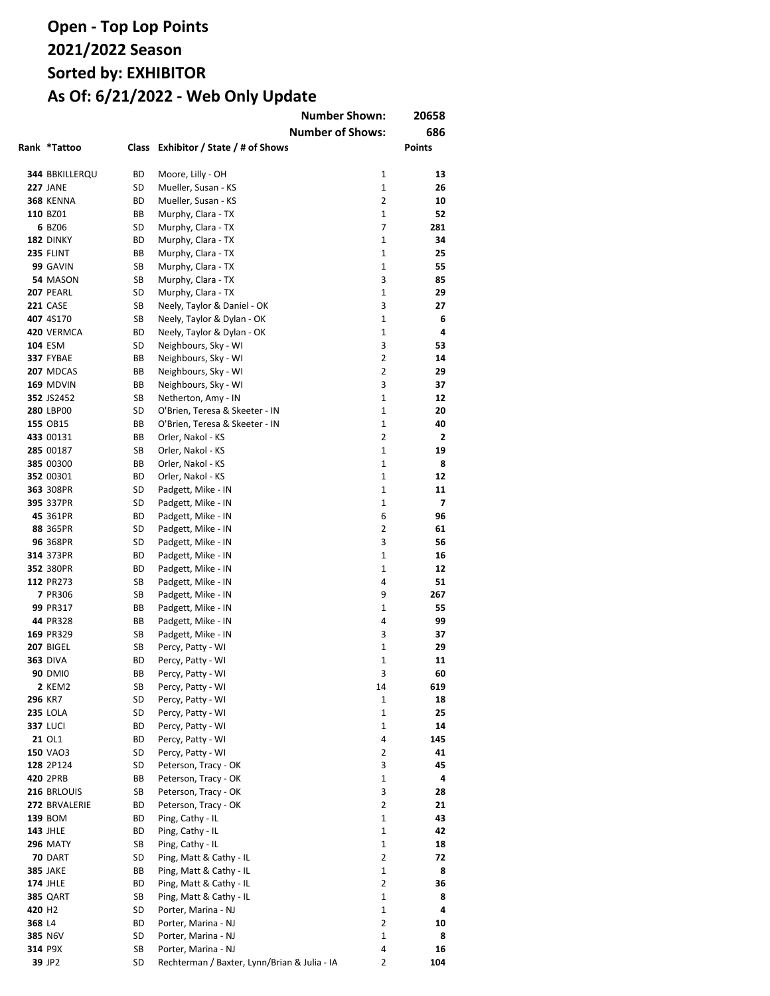|                    |                   |       |                                              | <b>Number Shown:</b>    | 20658          |
|--------------------|-------------------|-------|----------------------------------------------|-------------------------|----------------|
|                    |                   |       |                                              | <b>Number of Shows:</b> | 686            |
|                    | Rank *Tattoo      | Class | Exhibitor / State / # of Shows               |                         | <b>Points</b>  |
|                    |                   |       |                                              |                         |                |
|                    | 344 BBKILLERQU    | ВD    | Moore, Lilly - OH                            | 1                       | 13             |
|                    | <b>227 JANE</b>   | SD    | Mueller, Susan - KS                          | $\mathbf{1}$            | 26             |
|                    | <b>368 KENNA</b>  | BD    | Mueller, Susan - KS                          | $\overline{2}$          | 10             |
|                    | 110 BZ01          | ВB    | Murphy, Clara - TX                           | 1                       | 52             |
|                    | 6 BZ06            | SD    | Murphy, Clara - TX                           | 7                       | 281            |
|                    | 182 DINKY         | ВD    | Murphy, Clara - TX                           | 1                       | 34             |
|                    | <b>235 FLINT</b>  | ВB    | Murphy, Clara - TX                           | 1                       | 25             |
|                    | 99 GAVIN          | SB    | Murphy, Clara - TX                           | 1                       | 55             |
|                    | 54 MASON          | SB    | Murphy, Clara - TX                           | 3                       | 85             |
|                    | <b>207 PEARL</b>  | SD    | Murphy, Clara - TX                           | 1                       | 29             |
|                    | <b>221 CASE</b>   | SB    | Neely, Taylor & Daniel - OK                  | 3                       | 27             |
|                    | 407 4S170         | SB    | Neely, Taylor & Dylan - OK                   | 1                       | 6              |
|                    | <b>420 VERMCA</b> | ВD    | Neely, Taylor & Dylan - OK                   | 1                       | 4              |
|                    | <b>104 ESM</b>    | SD    | Neighbours, Sky - WI                         | 3                       | 53             |
|                    | 337 FYBAE         | ВB    | Neighbours, Sky - WI                         | 2                       | 14             |
|                    | 207 MDCAS         | ВB    | Neighbours, Sky - WI                         | 2                       | 29             |
|                    | 169 MDVIN         | ВB    | Neighbours, Sky - WI                         | 3                       | 37             |
|                    | 352 JS2452        | SB    | Netherton, Amy - IN                          | $\mathbf{1}$            | 12             |
|                    | 280 LBP00         | SD    | O'Brien, Teresa & Skeeter - IN               | 1                       | 20             |
|                    | 155 OB15          | ВB    | O'Brien, Teresa & Skeeter - IN               | $\mathbf{1}$            | 40             |
|                    | 433 00131         | ВB    | Orler, Nakol - KS                            | $\overline{2}$          | $\mathbf{2}$   |
|                    | 285 00187         | SB    | Orler, Nakol - KS                            | $\mathbf{1}$            | 19             |
|                    | 385 00300         | ВB    | Orler, Nakol - KS                            | 1                       | 8              |
|                    | 352 00301         | ВD    | Orler, Nakol - KS                            | $\mathbf{1}$            | 12             |
|                    | 363 308PR         | SD    | Padgett, Mike - IN                           | $\mathbf{1}$            | 11             |
|                    | 395 337PR         | SD    | Padgett, Mike - IN                           | 1                       | $\overline{7}$ |
|                    | 45 361PR          | ВD    | Padgett, Mike - IN                           | 6                       | 96             |
|                    | 88 365PR          | SD    | Padgett, Mike - IN                           | 2                       | 61             |
|                    | 96 368PR          | SD    | Padgett, Mike - IN                           | 3                       | 56             |
|                    | 314 373PR         | BD    | Padgett, Mike - IN                           | 1                       | 16             |
|                    | 352 380PR         | ВD    | Padgett, Mike - IN                           | 1                       | 12             |
|                    | 112 PR273         | SB    | Padgett, Mike - IN                           | 4                       | 51             |
|                    | 7 PR306           | SB    | Padgett, Mike - IN                           | 9                       | 267            |
|                    | 99 PR317          | ВB    | Padgett, Mike - IN                           | 1                       | 55             |
|                    | 44 PR328          | ВB    | Padgett, Mike - IN                           | 4                       | 99             |
|                    | 169 PR329         | SB    | Padgett, Mike - IN                           | 3                       | 37             |
|                    | 207 BIGEL         | SB    | Percy, Patty - WI                            | 1                       | 29             |
|                    | <b>363 DIVA</b>   | ВD    | Percy, Patty - WI                            | 1                       | 11             |
|                    | 90 DMI0           | ВB    | Percy, Patty - WI                            | 3                       | 60             |
|                    | 2 KEM2            | SB    | Percy, Patty - WI                            | 14                      | 619            |
|                    | 296 KR7           | SD    | Percy, Patty - WI                            | 1                       | 18             |
|                    | <b>235 LOLA</b>   | SD    | Percy, Patty - WI                            | 1                       | 25             |
|                    | <b>337 LUCI</b>   | ВD    | Percy, Patty - WI                            | 1                       | 14             |
|                    | 21 OL1            | ВD    | Percy, Patty - WI                            | 4                       | 145            |
|                    | <b>150 VAO3</b>   | SD    | Percy, Patty - WI                            | 2                       | 41             |
|                    | 128 2P124         | SD    | Peterson, Tracy - OK                         | 3                       | 45             |
|                    | 420 2PRB          | BВ    | Peterson, Tracy - OK                         | 1                       | 4              |
|                    | 216 BRLOUIS       | SB    | Peterson, Tracy - OK                         | 3                       | 28             |
|                    | 272 BRVALERIE     | ВD    | Peterson, Tracy - OK                         | $\overline{2}$          | 21             |
|                    | 139 BOM           | BD    | Ping, Cathy - IL                             | 1                       | 43             |
|                    | <b>143 JHLE</b>   | ВD    | Ping, Cathy - IL                             | 1                       | 42             |
|                    | <b>296 MATY</b>   | SB    | Ping, Cathy - IL                             | 1                       | 18             |
|                    | <b>70 DART</b>    | SD    | Ping, Matt & Cathy - IL                      | 2                       | 72             |
|                    | <b>385 JAKE</b>   | BВ    | Ping, Matt & Cathy - IL                      | 1                       | 8              |
|                    | <b>174 JHLE</b>   | ВD    | Ping, Matt & Cathy - IL                      | 2                       | 36             |
|                    | <b>385 QART</b>   | SB    | Ping, Matt & Cathy - IL                      | 1                       | 8              |
| 420 H <sub>2</sub> |                   | SD    | Porter, Marina - NJ                          | 1                       | 4              |
| 368 L4             |                   | BD    | Porter, Marina - NJ                          | 2                       | 10             |
|                    | 385 N6V           | SD    | Porter, Marina - NJ                          | 1                       | 8              |
|                    | 314 P9X           | SB    | Porter, Marina - NJ                          | 4                       | 16             |
|                    | 39 JP2            | SD    | Rechterman / Baxter, Lynn/Brian & Julia - IA | 2                       | 104            |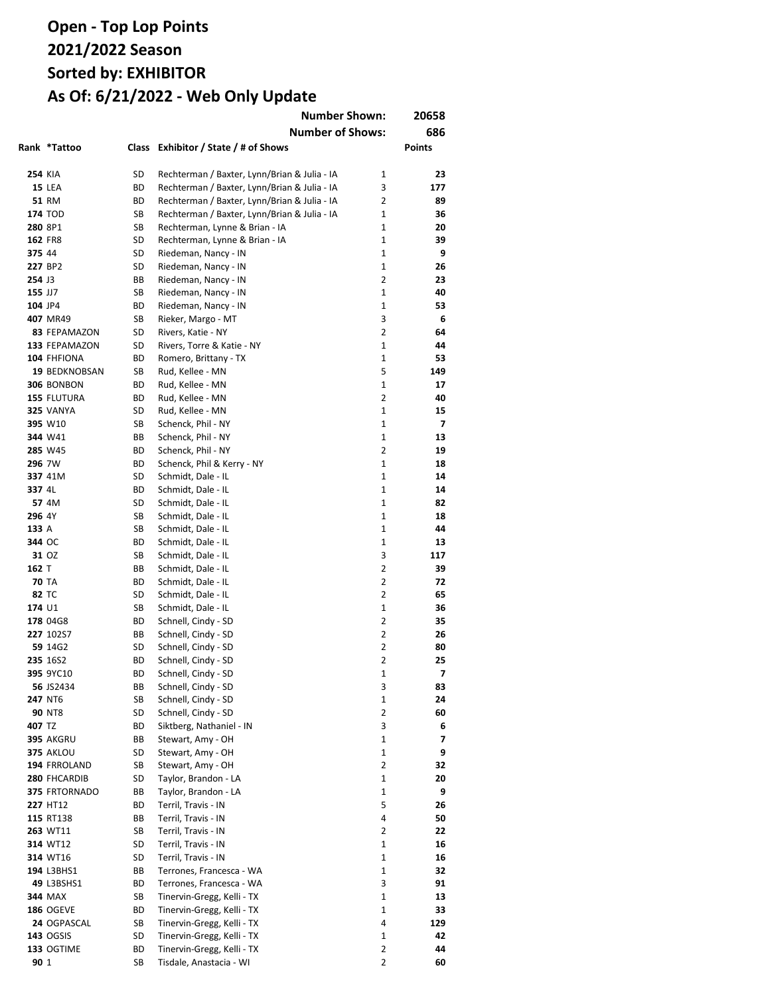|         |                      |          | <b>Number Shown:</b>                         |                              | 20658                   |
|---------|----------------------|----------|----------------------------------------------|------------------------------|-------------------------|
|         |                      |          | <b>Number of Shows:</b>                      |                              | 686                     |
|         | Rank *Tattoo         |          | Class Exhibitor / State / # of Shows         |                              | <b>Points</b>           |
|         |                      |          |                                              |                              |                         |
| 254 KIA |                      | SD       | Rechterman / Baxter, Lynn/Brian & Julia - IA | 1                            | 23                      |
|         | <b>15 LEA</b>        | ВD       | Rechterman / Baxter, Lynn/Brian & Julia - IA | 3                            | 177                     |
|         | <b>51 RM</b>         | ВD       | Rechterman / Baxter, Lynn/Brian & Julia - IA | $\overline{2}$               | 89                      |
|         | <b>174 TOD</b>       | SB       | Rechterman / Baxter, Lynn/Brian & Julia - IA | $\mathbf{1}$                 | 36                      |
| 280 8P1 |                      | SB       | Rechterman, Lynne & Brian - IA               | $\mathbf{1}$                 | 20                      |
| 162 FR8 |                      | SD       | Rechterman, Lynne & Brian - IA               | $\mathbf{1}$<br>$\mathbf{1}$ | 39<br>9                 |
| 375 44  | 227 BP2              | SD<br>SD | Riedeman, Nancy - IN                         | 1                            | 26                      |
| 254 J3  |                      | ВB       | Riedeman, Nancy - IN<br>Riedeman, Nancy - IN | 2                            | 23                      |
| 155 JJ7 |                      | SB       | Riedeman, Nancy - IN                         | 1                            | 40                      |
| 104 JP4 |                      | ВD       | Riedeman, Nancy - IN                         | 1                            | 53                      |
|         | 407 MR49             | SB       | Rieker, Margo - MT                           | 3                            | 6                       |
|         | 83 FEPAMAZON         | SD       | Rivers, Katie - NY                           | 2                            | 64                      |
|         | 133 FEPAMAZON        | SD       | Rivers, Torre & Katie - NY                   | 1                            | 44                      |
|         | 104 FHFIONA          | ВD       | Romero, Brittany - TX                        | 1                            | 53                      |
|         | 19 BEDKNOBSAN        | SB       | Rud, Kellee - MN                             | 5                            | 149                     |
|         | 306 BONBON           | ВD       | Rud, Kellee - MN                             | 1                            | 17                      |
|         | 155 FLUTURA          | ВD       | Rud, Kellee - MN                             | 2                            | 40                      |
|         | <b>325 VANYA</b>     | SD       | Rud, Kellee - MN                             | 1                            | 15                      |
|         | 395 W10              | SB       | Schenck, Phil - NY                           | 1                            | 7                       |
|         | 344 W41              | ВB       | Schenck, Phil - NY                           | $\mathbf{1}$                 | 13                      |
|         | 285 W45              | ВD       | Schenck, Phil - NY                           | $\overline{2}$               | 19                      |
| 296 7W  |                      | BD       | Schenck, Phil & Kerry - NY                   | 1                            | 18                      |
|         | 337 41M              | SD       | Schmidt, Dale - IL                           | 1                            | 14                      |
| 337 4L  |                      | ВD       | Schmidt, Dale - IL                           | $\mathbf{1}$                 | 14                      |
|         | 57 4M                | SD       | Schmidt, Dale - IL                           | $\mathbf{1}$                 | 82                      |
| 296 4Y  |                      | SB       | Schmidt, Dale - IL                           | 1                            | 18                      |
| 133 A   |                      | SB       | Schmidt, Dale - IL                           | $\mathbf{1}$                 | 44                      |
| 344 OC  | 31 OZ                | ВD<br>SB | Schmidt, Dale - IL<br>Schmidt, Dale - IL     | 1<br>3                       | 13<br>117               |
| 162 T   |                      | ВB       | Schmidt, Dale - IL                           | 2                            | 39                      |
|         | <b>70 TA</b>         | ВD       | Schmidt, Dale - IL                           | 2                            | 72                      |
| 82 TC   |                      | SD       | Schmidt, Dale - IL                           | 2                            | 65                      |
| 174 U1  |                      | SB       | Schmidt, Dale - IL                           | 1                            | 36                      |
|         | 178 04G8             | ВD       | Schnell, Cindy - SD                          | 2                            | 35                      |
|         | 227 102S7            | ВB       | Schnell, Cindy - SD                          | 2                            | 26                      |
|         | 59 14G2              | SD       | Schnell, Cindy - SD                          | 2                            | 80                      |
|         | 235 16S2             | ВD       | Schnell, Cindy - SD                          | 2                            | 25                      |
|         | 395 9YC10            | ВD       | Schnell, Cindy - SD                          | 1                            | $\overline{\mathbf{z}}$ |
|         | 56 JS2434            | ВB       | Schnell, Cindy - SD                          | 3                            | 83                      |
|         | 247 NT6              | SB       | Schnell, Cindy - SD                          | 1                            | 24                      |
|         | <b>90 NT8</b>        | SD       | Schnell, Cindy - SD                          | 2                            | 60                      |
| 407 TZ  |                      | ВD       | Siktberg, Nathaniel - IN                     | 3                            | 6                       |
|         | <b>395 AKGRU</b>     | ВB       | Stewart, Amy - OH                            | 1                            | 7                       |
|         | <b>375 AKLOU</b>     | SD       | Stewart, Amy - OH                            | 1                            | 9                       |
|         | 194 FRROLAND         | SB       | Stewart, Amy - OH                            | 2                            | 32                      |
|         | 280 FHCARDIB         | SD       | Taylor, Brandon - LA                         | 1                            | 20                      |
|         | 375 FRTORNADO        | ВB       | Taylor, Brandon - LA                         | 1                            | 9                       |
|         | 227 HT12             | ВD       | Terril, Travis - IN                          | 5                            | 26                      |
|         | 115 RT138            | ВB       | Terril, Travis - IN                          | 4                            | 50                      |
|         | 263 WT11<br>314 WT12 | SB<br>SD | Terril, Travis - IN<br>Terril, Travis - IN   | 2<br>1                       | 22<br>16                |
|         | 314 WT16             | SD       | Terril, Travis - IN                          | 1                            | 16                      |
|         | 194 L3BHS1           | ВB       | Terrones, Francesca - WA                     | 1                            | 32                      |
|         | 49 L3BSHS1           | ВD       | Terrones, Francesca - WA                     | 3                            | 91                      |
|         | 344 MAX              | SB       | Tinervin-Gregg, Kelli - TX                   | 1                            | 13                      |
|         | <b>186 OGEVE</b>     | ВD       | Tinervin-Gregg, Kelli - TX                   | $\mathbf 1$                  | 33                      |
|         | 24 OGPASCAL          | SB       | Tinervin-Gregg, Kelli - TX                   | 4                            | 129                     |
|         | <b>143 OGSIS</b>     | SD       | Tinervin-Gregg, Kelli - TX                   | 1                            | 42                      |
|         | 133 OGTIME           | ВD       | Tinervin-Gregg, Kelli - TX                   | 2                            | 44                      |
| 90 1    |                      | SB       | Tisdale, Anastacia - WI                      | 2                            | 60                      |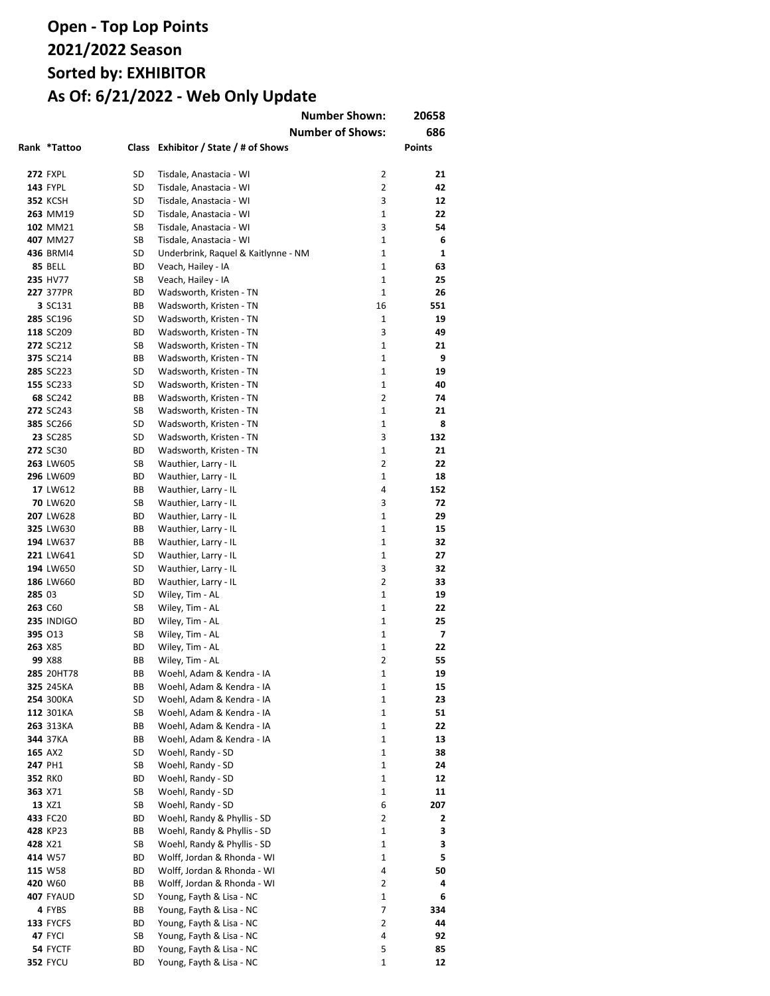|        | Rank *Tattoo           |          | Class Exhibitor / State / # of Shows                       | <b>Number Shown:</b><br><b>Number of Shows:</b> | 20658<br>686<br><b>Points</b> |
|--------|------------------------|----------|------------------------------------------------------------|-------------------------------------------------|-------------------------------|
|        |                        |          |                                                            |                                                 |                               |
|        | <b>272 FXPL</b>        | SD       | Tisdale, Anastacia - WI                                    | 2                                               | 21                            |
|        | <b>143 FYPL</b>        | SD       | Tisdale, Anastacia - WI                                    | $\overline{2}$                                  | 42                            |
|        | <b>352 KCSH</b>        | SD       | Tisdale, Anastacia - WI                                    | 3                                               | 12                            |
|        | 263 MM19               | SD       | Tisdale, Anastacia - WI                                    | 1                                               | 22                            |
|        | 102 MM21               | SB       | Tisdale, Anastacia - WI                                    | 3                                               | 54                            |
|        | 407 MM27               | SB       | Tisdale, Anastacia - WI                                    | $\mathbf{1}$                                    | 6                             |
|        | 436 BRMI4              | SD       | Underbrink, Raquel & Kaitlynne - NM                        | $\mathbf{1}$                                    | 1                             |
|        | 85 BELL<br>235 HV77    | ВD       | Veach, Hailey - IA<br>Veach, Hailey - IA                   | 1<br>$\mathbf{1}$                               | 63<br>25                      |
|        | 227 377PR              | SB<br>ВD | Wadsworth, Kristen - TN                                    | $\mathbf 1$                                     | 26                            |
|        | 3 SC131                | ВB       | Wadsworth, Kristen - TN                                    | 16                                              | 551                           |
|        | 285 SC196              | SD       | Wadsworth, Kristen - TN                                    | 1                                               | 19                            |
|        | 118 SC209              | BD       | Wadsworth, Kristen - TN                                    | 3                                               | 49                            |
|        | 272 SC212              | SB       | Wadsworth, Kristen - TN                                    | $\mathbf{1}$                                    | 21                            |
|        | 375 SC214              | ВB       | Wadsworth, Kristen - TN                                    | $\mathbf{1}$                                    | 9                             |
|        | 285 SC223              | SD       | Wadsworth, Kristen - TN                                    | $\mathbf{1}$                                    | 19                            |
|        | 155 SC233              | SD       | Wadsworth, Kristen - TN                                    | $\mathbf{1}$                                    | 40                            |
|        | 68 SC242               | ВB       | Wadsworth, Kristen - TN                                    | $\overline{2}$                                  | 74                            |
|        | 272 SC243              | SB       | Wadsworth, Kristen - TN                                    | $\mathbf{1}$                                    | 21                            |
|        | 385 SC266              | SD       | Wadsworth, Kristen - TN                                    | $\mathbf{1}$                                    | 8                             |
|        | 23 SC285               | SD       | Wadsworth, Kristen - TN                                    | 3                                               | 132                           |
|        | 272 SC30               | ВD       | Wadsworth, Kristen - TN                                    | $\mathbf{1}$                                    | 21                            |
|        | 263 LW605              | SB       | Wauthier, Larry - IL                                       | $\overline{2}$                                  | 22                            |
|        | 296 LW609              | ВD       | Wauthier, Larry - IL                                       | $\mathbf{1}$                                    | 18                            |
|        | 17 LW612               | ВB       | Wauthier, Larry - IL                                       | 4                                               | 152                           |
|        | 70 LW620               | SB       | Wauthier, Larry - IL                                       | 3                                               | 72                            |
|        | 207 LW628              | ВD       | Wauthier, Larry - IL                                       | $\mathbf{1}$                                    | 29                            |
|        | 325 LW630              | ВB       | Wauthier, Larry - IL                                       | $\mathbf{1}$                                    | 15                            |
|        | 194 LW637              | ВB       | Wauthier, Larry - IL                                       | $\mathbf{1}$                                    | 32                            |
|        | 221 LW641              | SD       | Wauthier, Larry - IL                                       | $\mathbf{1}$<br>3                               | 27                            |
|        | 194 LW650<br>186 LW660 | SD<br>ВD | Wauthier, Larry - IL<br>Wauthier, Larry - IL               | $\overline{2}$                                  | 32<br>33                      |
| 285 03 |                        | SD       | Wiley, Tim - AL                                            | 1                                               | 19                            |
|        | 263 C60                | SB       | Wiley, Tim - AL                                            | $\mathbf{1}$                                    | 22                            |
|        | <b>235 INDIGO</b>      | ВD       | Wiley, Tim - AL                                            | 1                                               | 25                            |
|        | 395 013                | SB       | Wiley, Tim - AL                                            | 1                                               | 7                             |
|        | 263 X85                | ВD       | Wiley, Tim - AL                                            | 1                                               | 22                            |
|        | 99 X88                 | BВ       | Wiley, Tim - AL                                            | 2                                               | 55                            |
|        | 285 20HT78             | BВ       | Woehl, Adam & Kendra - IA                                  | 1                                               | 19                            |
|        | 325 245KA              | ВB       | Woehl, Adam & Kendra - IA                                  | 1                                               | 15                            |
|        | 254 300KA              | SD       | Woehl, Adam & Kendra - IA                                  | 1                                               | 23                            |
|        | 112 301KA              | SB       | Woehl, Adam & Kendra - IA                                  | 1                                               | 51                            |
|        | 263 313KA              | ВB       | Woehl, Adam & Kendra - IA                                  | 1                                               | 22                            |
|        | 344 37KA               | ВB       | Woehl, Adam & Kendra - IA                                  | 1                                               | 13                            |
|        | 165 AX2                | SD       | Woehl, Randy - SD                                          | $\mathbf{1}$                                    | 38                            |
|        | 247 PH1                | SB       | Woehl, Randy - SD                                          | 1                                               | 24                            |
|        | 352 RKO                | ВD       | Woehl, Randy - SD                                          | 1                                               | 12                            |
|        | 363 X71                | SB       | Woehl, Randy - SD                                          | 1                                               | 11                            |
|        | 13 XZ1                 | SB       | Woehl, Randy - SD                                          | 6                                               | 207                           |
|        | 433 FC20               | ВD       | Woehl, Randy & Phyllis - SD                                | $\overline{2}$                                  | 2                             |
|        | 428 KP23               | ВB       | Woehl, Randy & Phyllis - SD                                | 1<br>1                                          | 3<br>3                        |
|        | 428 X21<br>414 W57     | SB<br>ВD | Woehl, Randy & Phyllis - SD<br>Wolff, Jordan & Rhonda - WI | 1                                               | 5                             |
|        | 115 W58                | ВD       | Wolff, Jordan & Rhonda - WI                                | 4                                               | 50                            |
|        | 420 W60                | ВB       | Wolff, Jordan & Rhonda - WI                                | 2                                               | 4                             |
|        | <b>407 FYAUD</b>       | SD       | Young, Fayth & Lisa - NC                                   | 1                                               | 6                             |
|        | 4 FYBS                 | ВB       | Young, Fayth & Lisa - NC                                   | 7                                               | 334                           |
|        | 133 FYCFS              | ВD       | Young, Fayth & Lisa - NC                                   | $\overline{2}$                                  | 44                            |
|        | 47 FYCI                | SB       | Young, Fayth & Lisa - NC                                   | 4                                               | 92                            |
|        | 54 FYCTF               | ВD       | Young, Fayth & Lisa - NC                                   | 5                                               | 85                            |
|        | <b>352 FYCU</b>        | ВD       | Young, Fayth & Lisa - NC                                   | 1                                               | 12                            |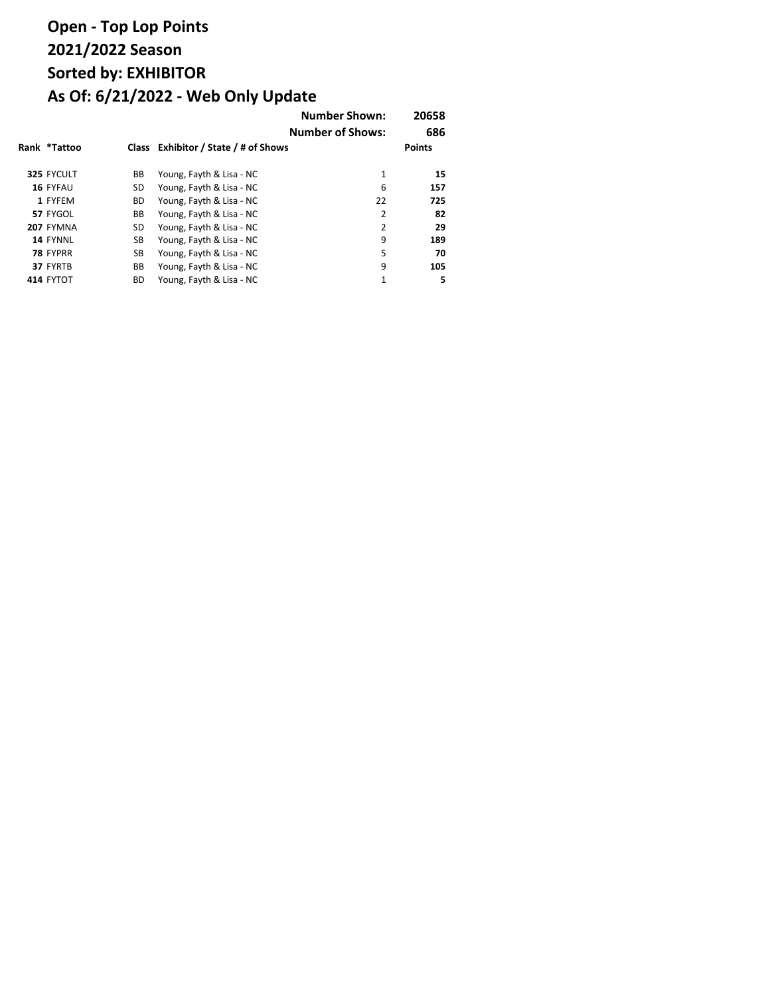|              |           |                                      | <b>Number Shown:</b><br><b>Number of Shows:</b> | 20658<br>686  |
|--------------|-----------|--------------------------------------|-------------------------------------------------|---------------|
| Rank *Tattoo |           | Class Exhibitor / State / # of Shows |                                                 | <b>Points</b> |
| 325 FYCULT   | BB        | Young, Fayth & Lisa - NC             | $\mathbf{1}$                                    | 15            |
| 16 FYFAU     | SD        | Young, Fayth & Lisa - NC             | 6                                               | 157           |
| 1 FYFEM      | <b>BD</b> | Young, Fayth & Lisa - NC             | 22                                              | 725           |
| 57 FYGOL     | BB        | Young, Fayth & Lisa - NC             | $\overline{2}$                                  | 82            |
| 207 FYMNA    | SD        | Young, Fayth & Lisa - NC             | $\overline{2}$                                  | 29            |
| 14 FYNNL     | SB        | Young, Fayth & Lisa - NC             | 9                                               | 189           |
| 78 FYPRR     | SB        | Young, Fayth & Lisa - NC             | 5                                               | 70            |
| 37 FYRTB     | BB        | Young, Fayth & Lisa - NC             | 9                                               | 105           |
| 414 FYTOT    | <b>BD</b> | Young, Fayth & Lisa - NC             | $\mathbf{1}$                                    | 5             |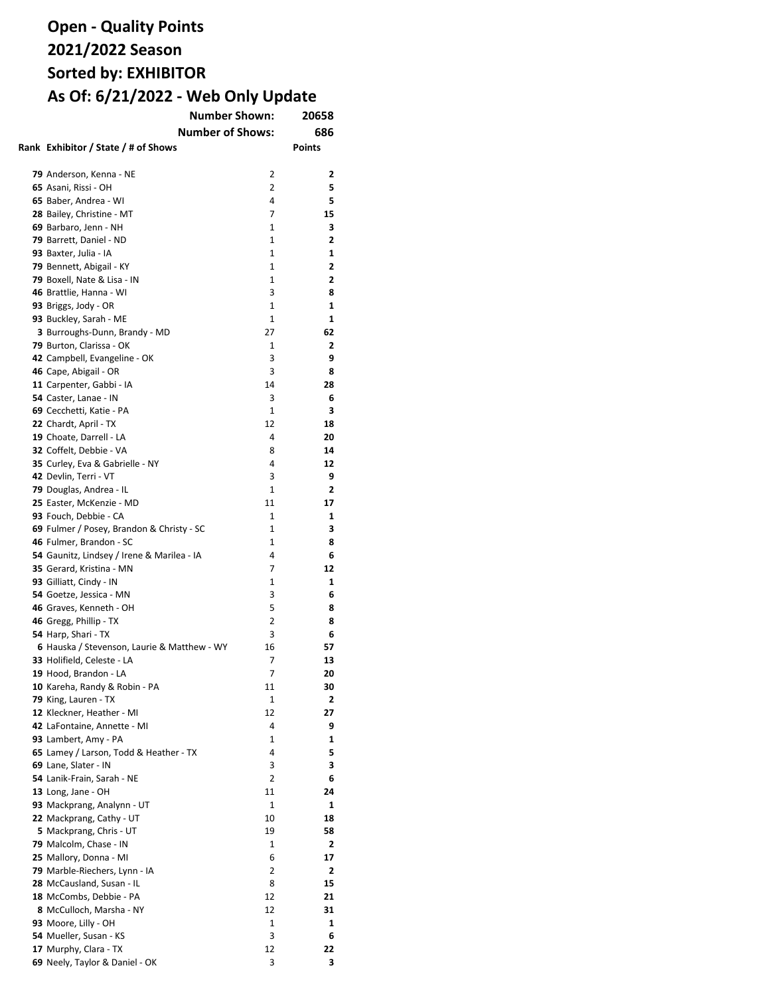| <b>Number Shown:</b>                          | 20658                   |               |
|-----------------------------------------------|-------------------------|---------------|
|                                               | <b>Number of Shows:</b> | 686           |
| Rank Exhibitor / State / # of Shows           |                         | <b>Points</b> |
|                                               |                         |               |
| 79 Anderson, Kenna - NE                       | 2                       | 2             |
| 65 Asani, Rissi - OH                          | 2                       | 5             |
| 65 Baber, Andrea - WI                         | 4                       | 5             |
| 28 Bailey, Christine - MT                     | 7                       | 15            |
| 69 Barbaro, Jenn - NH                         | 1                       | 3             |
| 79 Barrett, Daniel - ND                       | 1                       | 2             |
| 93 Baxter, Julia - IA                         | 1                       | 1             |
| 79 Bennett, Abigail - KY                      | 1                       | 2             |
| 79 Boxell, Nate & Lisa - IN                   | 1                       | 2             |
| 46 Brattlie, Hanna - WI                       | 3                       | 8             |
| 93 Briggs, Jody - OR                          | 1                       | 1             |
| 93 Buckley, Sarah - ME                        | 1                       | 1             |
| 3 Burroughs-Dunn, Brandy - MD                 | 27                      | 62            |
| 79 Burton, Clarissa - OK                      | 1                       | 2             |
| 42 Campbell, Evangeline - OK                  | 3                       | 9             |
| 46 Cape, Abigail - OR                         | 3                       | 8             |
| 11 Carpenter, Gabbi - IA                      | 14                      | 28            |
| 54 Caster, Lanae - IN                         | 3                       | 6             |
| 69 Cecchetti, Katie - PA                      | 1                       | 3             |
| 22 Chardt, April - TX                         | 12                      | 18            |
| 19 Choate, Darrell - LA                       | 4                       | 20            |
| 32 Coffelt, Debbie - VA                       | 8                       | 14            |
| 35 Curley, Eva & Gabrielle - NY               | 4                       | 12            |
| 42 Devlin, Terri - VT                         | 3                       | 9             |
| 79 Douglas, Andrea - IL                       | 1                       | 2             |
| 25 Easter, McKenzie - MD                      | 11                      | 17            |
| 93 Fouch, Debbie - CA                         | 1                       | 1             |
| 69 Fulmer / Posey, Brandon & Christy - SC     | 1                       | З             |
| 46 Fulmer, Brandon - SC                       | 1                       | 8             |
| 54 Gaunitz, Lindsey / Irene & Marilea - IA    | 4                       | 6             |
| 35 Gerard, Kristina - MN                      | 7                       | 12            |
| 93 Gilliatt, Cindy - IN                       | 1                       | 1             |
| 54 Goetze, Jessica - MN                       | 3                       | 6             |
| 46 Graves, Kenneth - OH                       | 5<br>2                  | 8<br>8        |
| 46 Gregg, Phillip - TX<br>54 Harp, Shari - TX | 3                       | 6             |
| 6 Hauska / Stevenson, Laurie & Matthew - WY   | 16                      | 57            |
| 33 Holifield, Celeste - LA                    | 7                       | 13            |
| 19 Hood, Brandon - LA                         | 7                       | 20            |
| 10 Kareha, Randy & Robin - PA                 | 11                      | 30            |
| 79 King, Lauren - TX                          | 1                       | 2             |
| 12 Kleckner, Heather - MI                     | 12                      | 27            |
| 42 LaFontaine, Annette - MI                   | 4                       | 9             |
| 93 Lambert, Amy - PA                          | 1                       | 1             |
| 65 Lamey / Larson, Todd & Heather - TX        | 4                       | 5             |
| 69 Lane, Slater - IN                          | 3                       | 3             |
| 54 Lanik-Frain, Sarah - NE                    | 2                       | 6             |
| 13 Long, Jane - OH                            | 11                      | 24            |
| 93 Mackprang, Analynn - UT                    | 1                       | 1             |
| 22 Mackprang, Cathy - UT                      | 10                      | 18            |
| 5 Mackprang, Chris - UT                       | 19                      | 58            |
| 79 Malcolm, Chase - IN                        | 1                       | 2             |
| 25 Mallory, Donna - MI                        | 6                       | 17            |
| 79 Marble-Riechers, Lynn - IA                 | 2                       | 2             |
| 28 McCausland, Susan - IL                     | 8                       | 15            |
| 18 McCombs, Debbie - PA                       | 12                      | 21            |
| 8 McCulloch, Marsha - NY                      | 12                      | 31            |
| 93 Moore, Lilly - OH                          | 1                       | 1             |
| 54 Mueller, Susan - KS                        | 3                       | 6             |
| 17 Murphy, Clara - TX                         | 12                      | 22            |
| 69 Neely, Taylor & Daniel - OK                | 3                       | 3             |